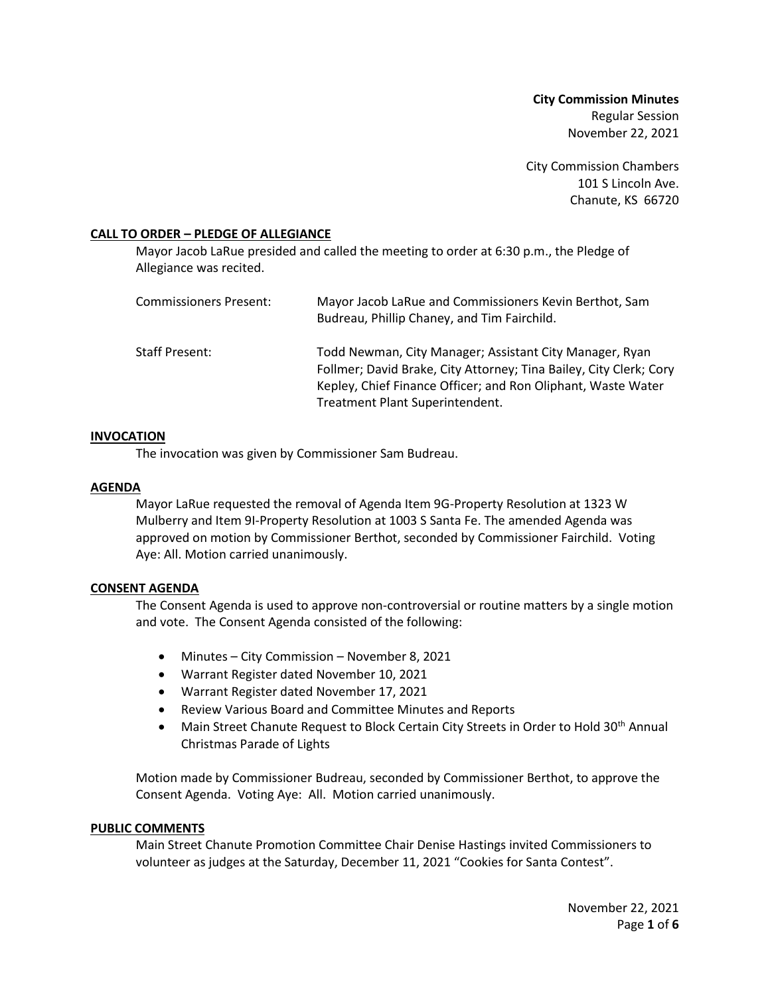**City Commission Minutes** Regular Session November 22, 2021

City Commission Chambers 101 S Lincoln Ave. Chanute, KS 66720

### **CALL TO ORDER – PLEDGE OF ALLEGIANCE**

Mayor Jacob LaRue presided and called the meeting to order at 6:30 p.m., the Pledge of Allegiance was recited.

| Commissioners Present: | Mayor Jacob LaRue and Commissioners Kevin Berthot, Sam<br>Budreau, Phillip Chaney, and Tim Fairchild.                                                                                                                            |
|------------------------|----------------------------------------------------------------------------------------------------------------------------------------------------------------------------------------------------------------------------------|
| Staff Present:         | Todd Newman, City Manager; Assistant City Manager, Ryan<br>Follmer; David Brake, City Attorney; Tina Bailey, City Clerk; Cory<br>Kepley, Chief Finance Officer; and Ron Oliphant, Waste Water<br>Treatment Plant Superintendent. |

#### **INVOCATION**

The invocation was given by Commissioner Sam Budreau.

### **AGENDA**

Mayor LaRue requested the removal of Agenda Item 9G-Property Resolution at 1323 W Mulberry and Item 9I-Property Resolution at 1003 S Santa Fe. The amended Agenda was approved on motion by Commissioner Berthot, seconded by Commissioner Fairchild. Voting Aye: All. Motion carried unanimously.

# **CONSENT AGENDA**

The Consent Agenda is used to approve non-controversial or routine matters by a single motion and vote. The Consent Agenda consisted of the following:

- Minutes City Commission November 8, 2021
- Warrant Register dated November 10, 2021
- Warrant Register dated November 17, 2021
- Review Various Board and Committee Minutes and Reports
- Main Street Chanute Request to Block Certain City Streets in Order to Hold 30<sup>th</sup> Annual Christmas Parade of Lights

Motion made by Commissioner Budreau, seconded by Commissioner Berthot, to approve the Consent Agenda. Voting Aye: All. Motion carried unanimously.

# **PUBLIC COMMENTS**

Main Street Chanute Promotion Committee Chair Denise Hastings invited Commissioners to volunteer as judges at the Saturday, December 11, 2021 "Cookies for Santa Contest".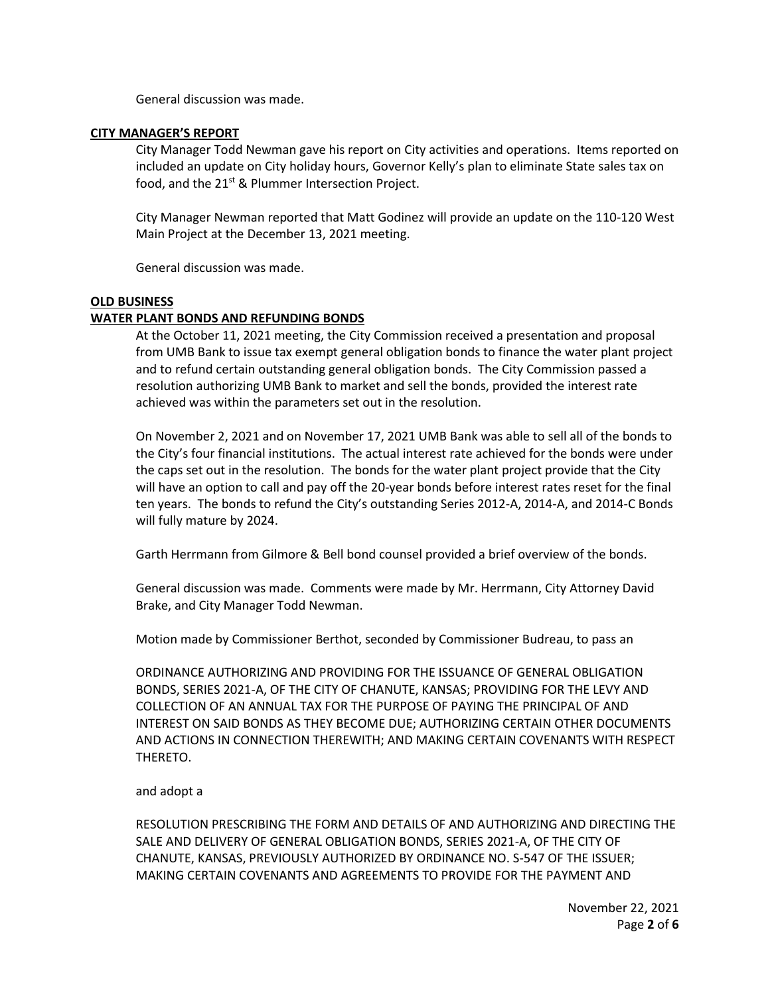General discussion was made.

### **CITY MANAGER'S REPORT**

City Manager Todd Newman gave his report on City activities and operations. Items reported on included an update on City holiday hours, Governor Kelly's plan to eliminate State sales tax on food, and the 21<sup>st</sup> & Plummer Intersection Project.

City Manager Newman reported that Matt Godinez will provide an update on the 110-120 West Main Project at the December 13, 2021 meeting.

General discussion was made.

### **OLD BUSINESS**

# **WATER PLANT BONDS AND REFUNDING BONDS**

At the October 11, 2021 meeting, the City Commission received a presentation and proposal from UMB Bank to issue tax exempt general obligation bonds to finance the water plant project and to refund certain outstanding general obligation bonds. The City Commission passed a resolution authorizing UMB Bank to market and sell the bonds, provided the interest rate achieved was within the parameters set out in the resolution.

On November 2, 2021 and on November 17, 2021 UMB Bank was able to sell all of the bonds to the City's four financial institutions. The actual interest rate achieved for the bonds were under the caps set out in the resolution. The bonds for the water plant project provide that the City will have an option to call and pay off the 20-year bonds before interest rates reset for the final ten years. The bonds to refund the City's outstanding Series 2012-A, 2014-A, and 2014-C Bonds will fully mature by 2024.

Garth Herrmann from Gilmore & Bell bond counsel provided a brief overview of the bonds.

General discussion was made. Comments were made by Mr. Herrmann, City Attorney David Brake, and City Manager Todd Newman.

Motion made by Commissioner Berthot, seconded by Commissioner Budreau, to pass an

ORDINANCE AUTHORIZING AND PROVIDING FOR THE ISSUANCE OF GENERAL OBLIGATION BONDS, SERIES 2021-A, OF THE CITY OF CHANUTE, KANSAS; PROVIDING FOR THE LEVY AND COLLECTION OF AN ANNUAL TAX FOR THE PURPOSE OF PAYING THE PRINCIPAL OF AND INTEREST ON SAID BONDS AS THEY BECOME DUE; AUTHORIZING CERTAIN OTHER DOCUMENTS AND ACTIONS IN CONNECTION THEREWITH; AND MAKING CERTAIN COVENANTS WITH RESPECT THERETO.

# and adopt a

RESOLUTION PRESCRIBING THE FORM AND DETAILS OF AND AUTHORIZING AND DIRECTING THE SALE AND DELIVERY OF GENERAL OBLIGATION BONDS, SERIES 2021-A, OF THE CITY OF CHANUTE, KANSAS, PREVIOUSLY AUTHORIZED BY ORDINANCE NO. S-547 OF THE ISSUER; MAKING CERTAIN COVENANTS AND AGREEMENTS TO PROVIDE FOR THE PAYMENT AND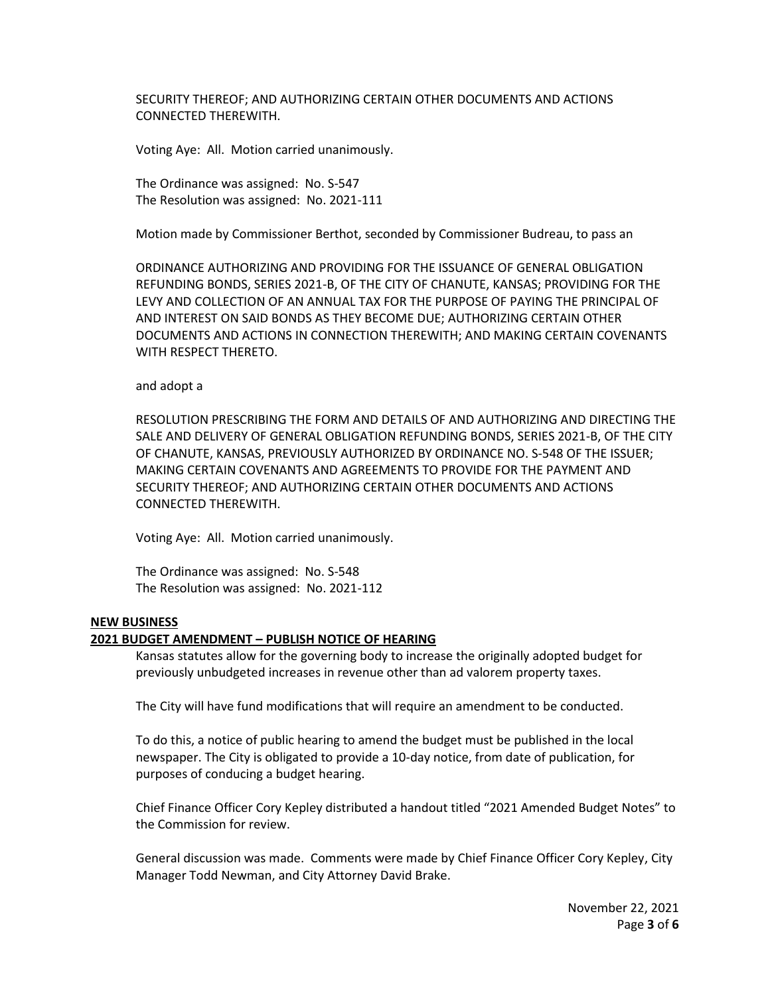SECURITY THEREOF; AND AUTHORIZING CERTAIN OTHER DOCUMENTS AND ACTIONS CONNECTED THEREWITH.

Voting Aye: All. Motion carried unanimously.

The Ordinance was assigned: No. S-547 The Resolution was assigned: No. 2021-111

Motion made by Commissioner Berthot, seconded by Commissioner Budreau, to pass an

ORDINANCE AUTHORIZING AND PROVIDING FOR THE ISSUANCE OF GENERAL OBLIGATION REFUNDING BONDS, SERIES 2021-B, OF THE CITY OF CHANUTE, KANSAS; PROVIDING FOR THE LEVY AND COLLECTION OF AN ANNUAL TAX FOR THE PURPOSE OF PAYING THE PRINCIPAL OF AND INTEREST ON SAID BONDS AS THEY BECOME DUE; AUTHORIZING CERTAIN OTHER DOCUMENTS AND ACTIONS IN CONNECTION THEREWITH; AND MAKING CERTAIN COVENANTS WITH RESPECT THERETO.

#### and adopt a

RESOLUTION PRESCRIBING THE FORM AND DETAILS OF AND AUTHORIZING AND DIRECTING THE SALE AND DELIVERY OF GENERAL OBLIGATION REFUNDING BONDS, SERIES 2021-B, OF THE CITY OF CHANUTE, KANSAS, PREVIOUSLY AUTHORIZED BY ORDINANCE NO. S-548 OF THE ISSUER; MAKING CERTAIN COVENANTS AND AGREEMENTS TO PROVIDE FOR THE PAYMENT AND SECURITY THEREOF; AND AUTHORIZING CERTAIN OTHER DOCUMENTS AND ACTIONS CONNECTED THEREWITH.

Voting Aye: All. Motion carried unanimously.

The Ordinance was assigned: No. S-548 The Resolution was assigned: No. 2021-112

## **NEW BUSINESS**

# **2021 BUDGET AMENDMENT – PUBLISH NOTICE OF HEARING**

Kansas statutes allow for the governing body to increase the originally adopted budget for previously unbudgeted increases in revenue other than ad valorem property taxes.

The City will have fund modifications that will require an amendment to be conducted.

To do this, a notice of public hearing to amend the budget must be published in the local newspaper. The City is obligated to provide a 10-day notice, from date of publication, for purposes of conducing a budget hearing.

Chief Finance Officer Cory Kepley distributed a handout titled "2021 Amended Budget Notes" to the Commission for review.

General discussion was made. Comments were made by Chief Finance Officer Cory Kepley, City Manager Todd Newman, and City Attorney David Brake.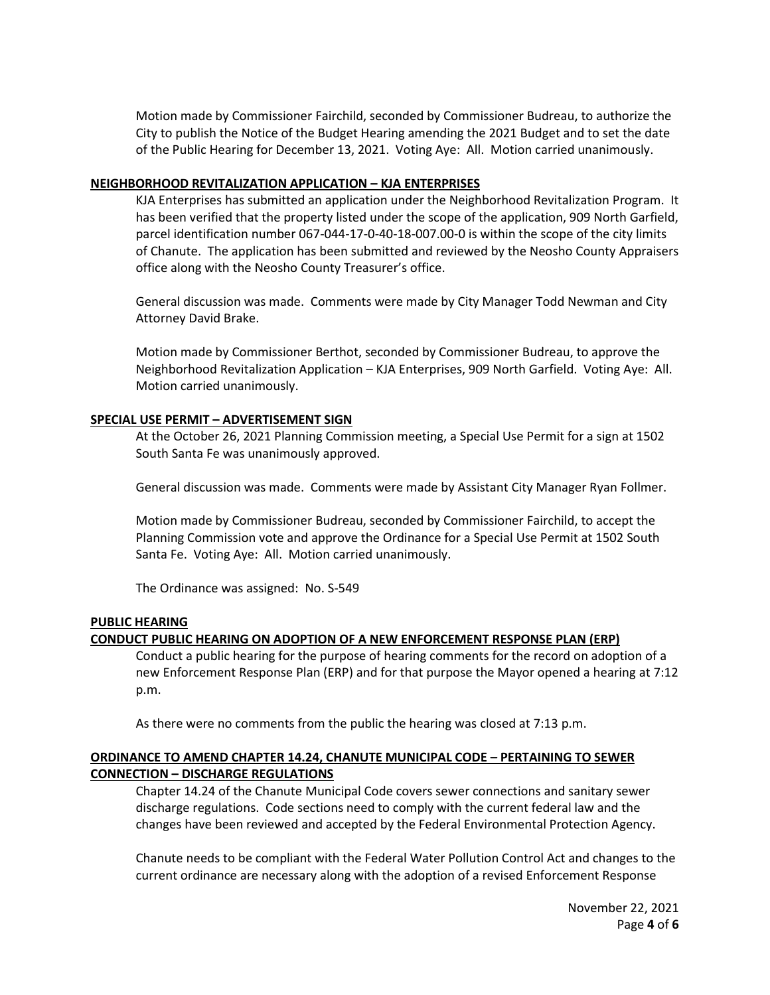Motion made by Commissioner Fairchild, seconded by Commissioner Budreau, to authorize the City to publish the Notice of the Budget Hearing amending the 2021 Budget and to set the date of the Public Hearing for December 13, 2021. Voting Aye: All. Motion carried unanimously.

#### **NEIGHBORHOOD REVITALIZATION APPLICATION – KJA ENTERPRISES**

KJA Enterprises has submitted an application under the Neighborhood Revitalization Program. It has been verified that the property listed under the scope of the application, 909 North Garfield, parcel identification number 067-044-17-0-40-18-007.00-0 is within the scope of the city limits of Chanute. The application has been submitted and reviewed by the Neosho County Appraisers office along with the Neosho County Treasurer's office.

General discussion was made. Comments were made by City Manager Todd Newman and City Attorney David Brake.

Motion made by Commissioner Berthot, seconded by Commissioner Budreau, to approve the Neighborhood Revitalization Application – KJA Enterprises, 909 North Garfield. Voting Aye: All. Motion carried unanimously.

# **SPECIAL USE PERMIT – ADVERTISEMENT SIGN**

At the October 26, 2021 Planning Commission meeting, a Special Use Permit for a sign at 1502 South Santa Fe was unanimously approved.

General discussion was made. Comments were made by Assistant City Manager Ryan Follmer.

Motion made by Commissioner Budreau, seconded by Commissioner Fairchild, to accept the Planning Commission vote and approve the Ordinance for a Special Use Permit at 1502 South Santa Fe. Voting Aye: All. Motion carried unanimously.

The Ordinance was assigned: No. S-549

# **PUBLIC HEARING**

# **CONDUCT PUBLIC HEARING ON ADOPTION OF A NEW ENFORCEMENT RESPONSE PLAN (ERP)**

Conduct a public hearing for the purpose of hearing comments for the record on adoption of a new Enforcement Response Plan (ERP) and for that purpose the Mayor opened a hearing at 7:12 p.m.

As there were no comments from the public the hearing was closed at 7:13 p.m.

# **ORDINANCE TO AMEND CHAPTER 14.24, CHANUTE MUNICIPAL CODE – PERTAINING TO SEWER CONNECTION – DISCHARGE REGULATIONS**

Chapter 14.24 of the Chanute Municipal Code covers sewer connections and sanitary sewer discharge regulations. Code sections need to comply with the current federal law and the changes have been reviewed and accepted by the Federal Environmental Protection Agency.

Chanute needs to be compliant with the Federal Water Pollution Control Act and changes to the current ordinance are necessary along with the adoption of a revised Enforcement Response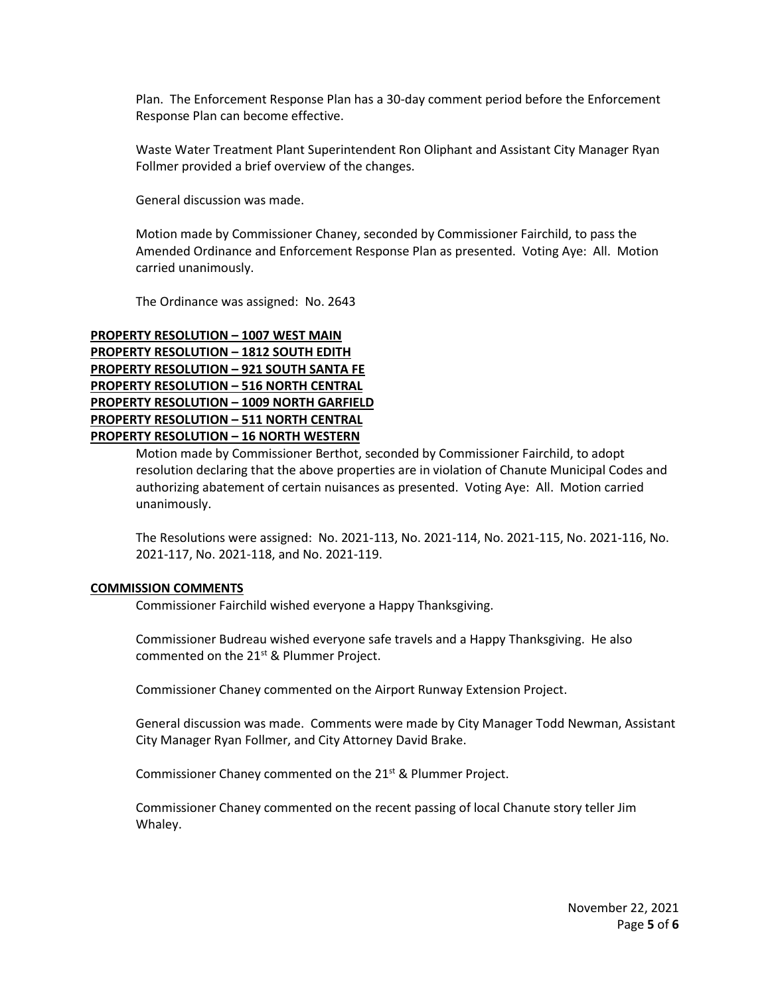Plan. The Enforcement Response Plan has a 30-day comment period before the Enforcement Response Plan can become effective.

Waste Water Treatment Plant Superintendent Ron Oliphant and Assistant City Manager Ryan Follmer provided a brief overview of the changes.

General discussion was made.

Motion made by Commissioner Chaney, seconded by Commissioner Fairchild, to pass the Amended Ordinance and Enforcement Response Plan as presented. Voting Aye: All. Motion carried unanimously.

The Ordinance was assigned: No. 2643

# **PROPERTY RESOLUTION – 1007 WEST MAIN PROPERTY RESOLUTION – 1812 SOUTH EDITH PROPERTY RESOLUTION – 921 SOUTH SANTA FE PROPERTY RESOLUTION – 516 NORTH CENTRAL PROPERTY RESOLUTION – 1009 NORTH GARFIELD PROPERTY RESOLUTION – 511 NORTH CENTRAL PROPERTY RESOLUTION – 16 NORTH WESTERN**

Motion made by Commissioner Berthot, seconded by Commissioner Fairchild, to adopt resolution declaring that the above properties are in violation of Chanute Municipal Codes and authorizing abatement of certain nuisances as presented. Voting Aye: All. Motion carried unanimously.

The Resolutions were assigned: No. 2021-113, No. 2021-114, No. 2021-115, No. 2021-116, No. 2021-117, No. 2021-118, and No. 2021-119.

# **COMMISSION COMMENTS**

Commissioner Fairchild wished everyone a Happy Thanksgiving.

Commissioner Budreau wished everyone safe travels and a Happy Thanksgiving. He also commented on the  $21^{st}$  & Plummer Project.

Commissioner Chaney commented on the Airport Runway Extension Project.

General discussion was made. Comments were made by City Manager Todd Newman, Assistant City Manager Ryan Follmer, and City Attorney David Brake.

Commissioner Chaney commented on the 21<sup>st</sup> & Plummer Project.

Commissioner Chaney commented on the recent passing of local Chanute story teller Jim Whaley.